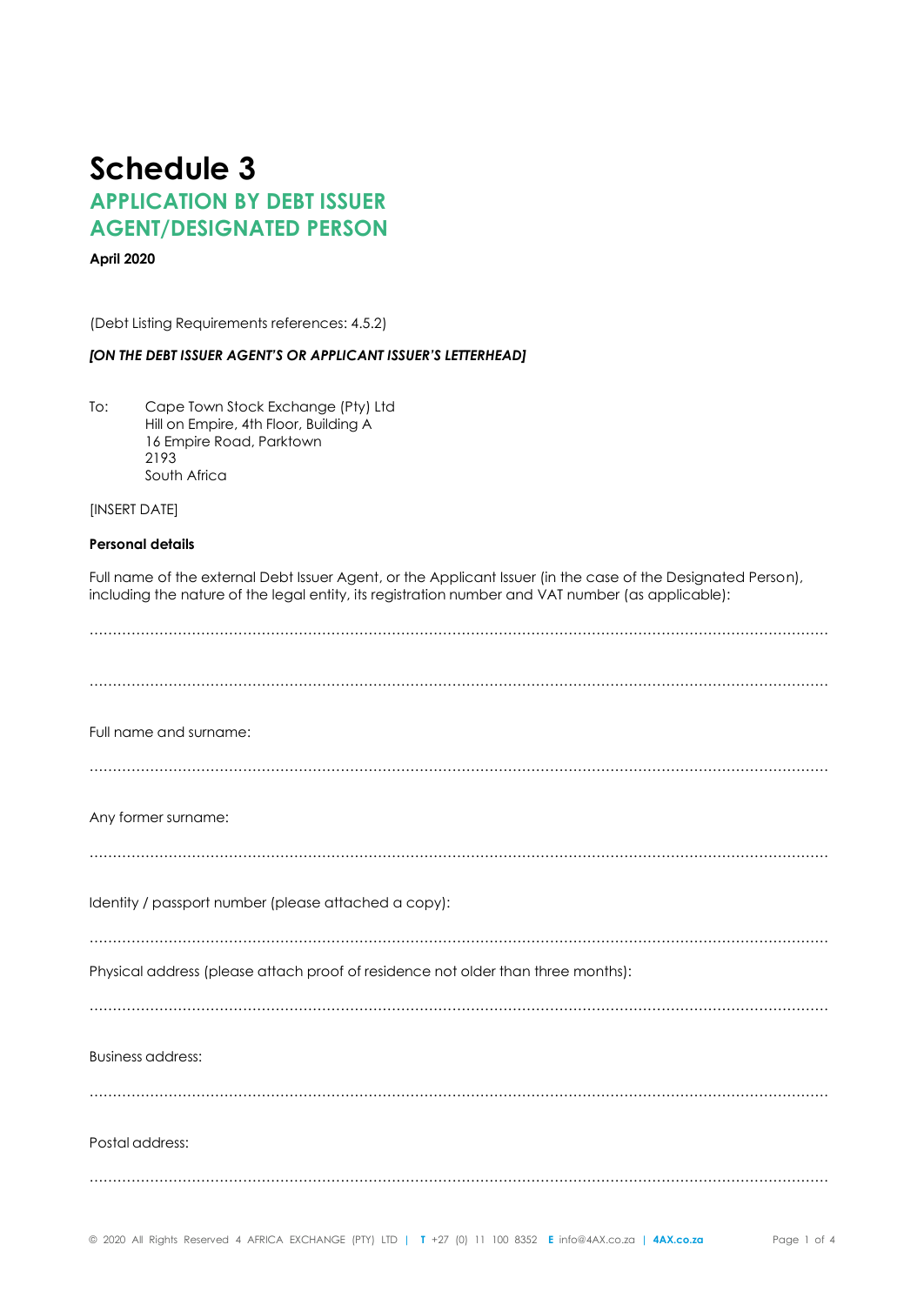# **Schedule 3 APPLICATION BY DEBT ISSUER AGENT/DESIGNATED PERSON**

## **April 2020**

(Debt Listing Requirements references: 4.5.2)

#### *[ON THE DEBT ISSUER AGENT'S OR APPLICANT ISSUER'S LETTERHEAD]*

To: Cape Town Stock Exchange (Pty) Ltd Hill on Empire, 4th Floor, Building A 16 Empire Road, Parktown 2193 South Africa

[INSERT DATE]

## **Personal details**

Full name of the external Debt Issuer Agent, or the Applicant Issuer (in the case of the Designated Person), including the nature of the legal entity, its registration number and VAT number (as applicable):

| Full name and surname:                                                           |
|----------------------------------------------------------------------------------|
|                                                                                  |
| Any former surname:                                                              |
|                                                                                  |
| Identity / passport number (please attached a copy):                             |
| Physical address (please attach proof of residence not older than three months): |
|                                                                                  |
| <b>Business address:</b>                                                         |
|                                                                                  |
| Postal address:                                                                  |
|                                                                                  |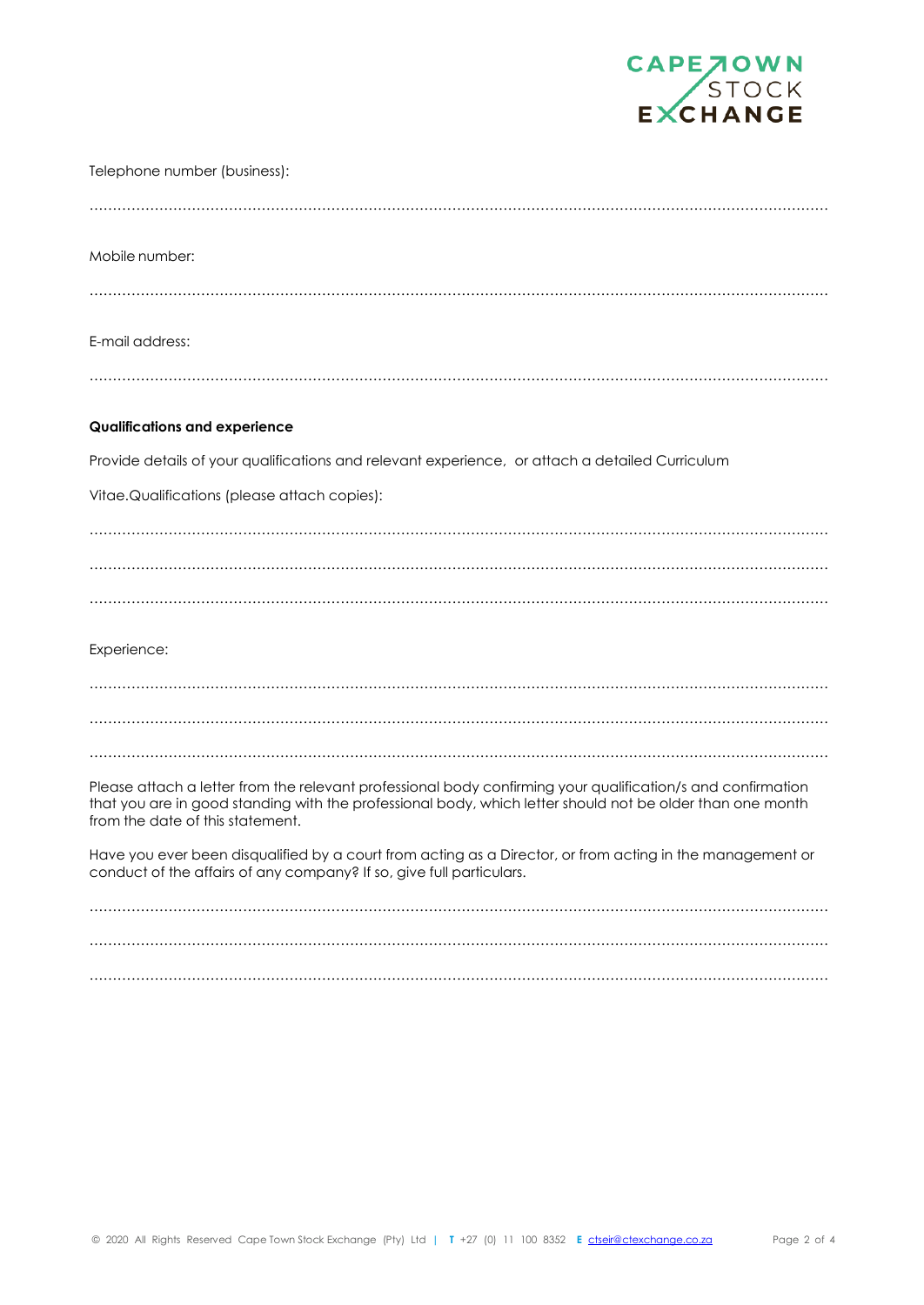

| Telephone number (business):                                                                                                                                                                                                                                 |
|--------------------------------------------------------------------------------------------------------------------------------------------------------------------------------------------------------------------------------------------------------------|
|                                                                                                                                                                                                                                                              |
| Mobile number:                                                                                                                                                                                                                                               |
|                                                                                                                                                                                                                                                              |
| E-mail address:                                                                                                                                                                                                                                              |
|                                                                                                                                                                                                                                                              |
| <b>Qualifications and experience</b>                                                                                                                                                                                                                         |
| Provide details of your qualifications and relevant experience, or attach a detailed Curriculum                                                                                                                                                              |
| Vitae.Qualifications (please attach copies):                                                                                                                                                                                                                 |
|                                                                                                                                                                                                                                                              |
|                                                                                                                                                                                                                                                              |
|                                                                                                                                                                                                                                                              |
| Experience:                                                                                                                                                                                                                                                  |
|                                                                                                                                                                                                                                                              |
|                                                                                                                                                                                                                                                              |
|                                                                                                                                                                                                                                                              |
| Please attach a letter from the relevant professional body confirming your qualification/s and confirmation<br>that you are in good standing with the professional body, which letter should not be older than one month<br>from the date of this statement. |
| Have you ever been disqualified by a court from acting as a Director, or from acting in the management or<br>conduct of the affairs of any company? If so, give full particulars.                                                                            |
|                                                                                                                                                                                                                                                              |

…………………………………………………………………………………………………………………………………………… ……………………………………………………………………………………………………………………………………………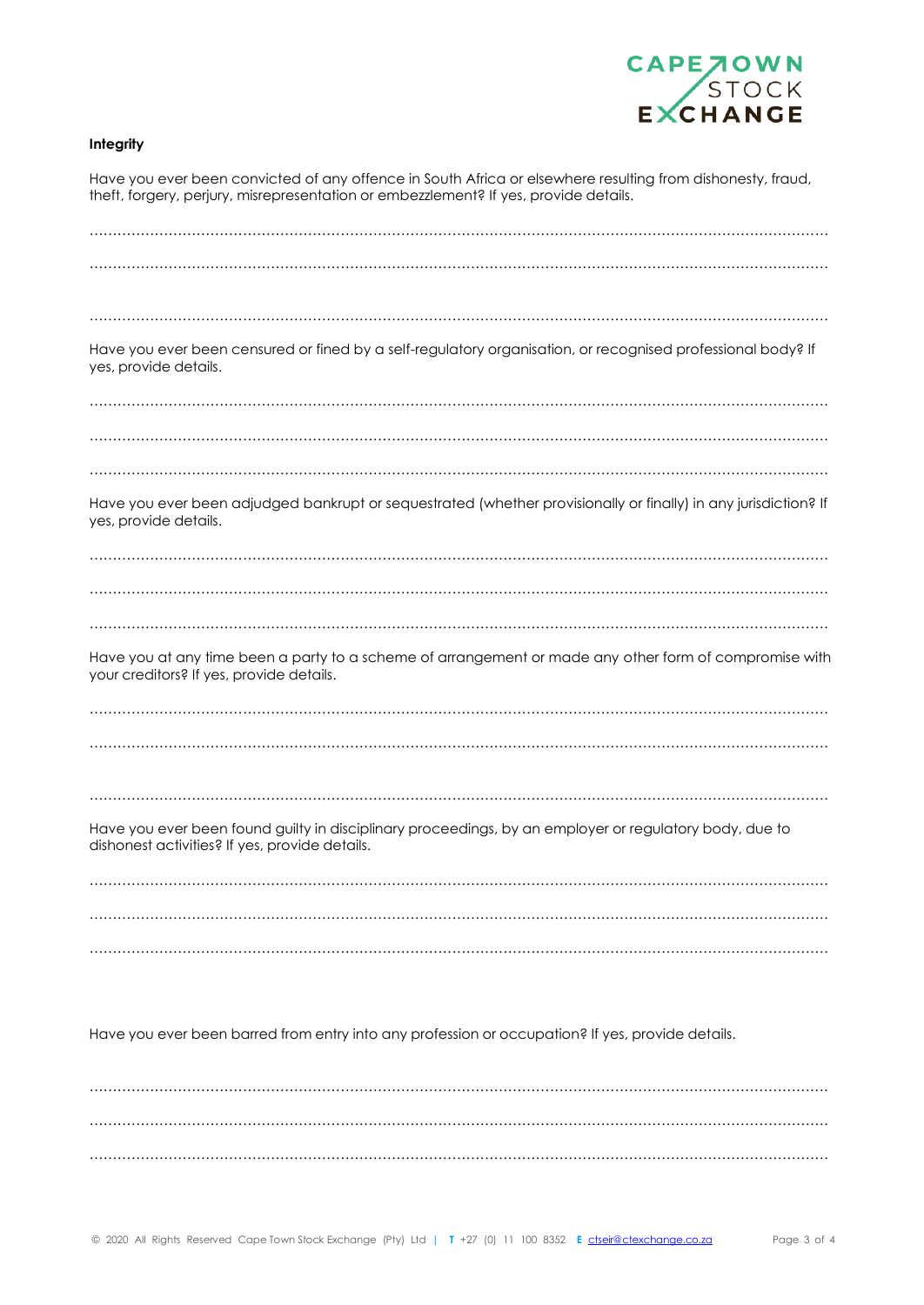

# **Integrity**

| Have you ever been convicted of any offence in South Africa or elsewhere resulting from dishonesty, fraud,<br>theft, forgery, perjury, misrepresentation or embezzlement? If yes, provide details. |
|----------------------------------------------------------------------------------------------------------------------------------------------------------------------------------------------------|
|                                                                                                                                                                                                    |
|                                                                                                                                                                                                    |
|                                                                                                                                                                                                    |
| Have you ever been censured or fined by a self-regulatory organisation, or recognised professional body? If<br>yes, provide details.                                                               |
|                                                                                                                                                                                                    |
|                                                                                                                                                                                                    |
| Have you ever been adjudged bankrupt or sequestrated (whether provisionally or finally) in any jurisdiction? If<br>yes, provide details.                                                           |
|                                                                                                                                                                                                    |
|                                                                                                                                                                                                    |
|                                                                                                                                                                                                    |
| Have you at any time been a party to a scheme of arrangement or made any other form of compromise with<br>your creditors? If yes, provide details.                                                 |
|                                                                                                                                                                                                    |
|                                                                                                                                                                                                    |
|                                                                                                                                                                                                    |
| Have you ever been found guilty in disciplinary proceedings, by an employer or regulatory body, due to<br>dishonest activities? If yes, provide details.                                           |
|                                                                                                                                                                                                    |
|                                                                                                                                                                                                    |
|                                                                                                                                                                                                    |

Have you ever been barred from entry into any profession or occupation? If yes, provide details.

…………………………………………………………………………………………………………………………………………… …………………………………………………………………………………………………………………………………………… ……………………………………………………………………………………………………………………………………………